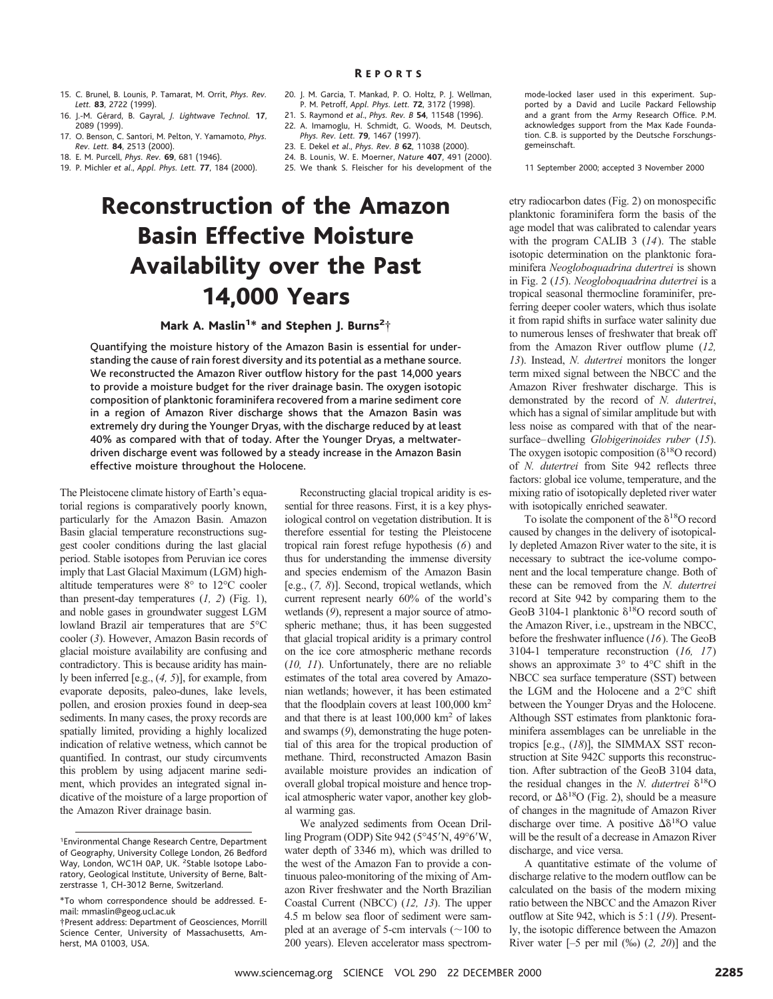#### R EPORTS

- 15. C. Brunel, B. Lounis, P. Tamarat, M. Orrit, *Phys. Rev. Lett.* **83**, 2722 (1999).
- 16. J.-M. Ge´rard, B. Gayral, *J. Lightwave Technol.* **17**, 2089 (1999).
- 17. O. Benson, C. Santori, M. Pelton, Y. Yamamoto, *Phys. Rev. Lett.* **84**, 2513 (2000).
- 18. E. M. Purcell, *Phys. Rev.* **69**, 681 (1946).
- 19. P. Michler *et al*., *Appl. Phys. Lett.* **77**, 184 (2000).
- 20. J. M. Garcia, T. Mankad, P. O. Holtz, P. J. Wellman, P. M. Petroff, *Appl. Phys. Lett.* **72**, 3172 (1998).
- 21. S. Raymond *et al*., *Phys. Rev. B* **54**, 11548 (1996).
- 22. A. Imamoglu, H. Schmidt, G. Woods, M. Deutsch, *Phys. Rev. Lett.* **79**, 1467 (1997).
- 23. E. Dekel *et al*., *Phys. Rev. B* **62**, 11038 (2000).
- 24. B. Lounis, W. E. Moerner, *Nature* **407**, 491 (2000).
- 25. We thank S. Fleischer for his development of the

# Reconstruction of the Amazon Basin Effective Moisture Availability over the Past 14,000 Years

## Mark A. Maslin<sup>1\*</sup> and Stephen J. Burns<sup>2</sup>†

Quantifying the moisture history of the Amazon Basin is essential for understanding the cause of rain forest diversity and its potential as a methane source. We reconstructed the Amazon River outflow history for the past 14,000 years to provide a moisture budget for the river drainage basin. The oxygen isotopic composition of planktonic foraminifera recovered from a marine sediment core in a region of Amazon River discharge shows that the Amazon Basin was extremely dry during the Younger Dryas, with the discharge reduced by at least 40% as compared with that of today. After the Younger Dryas, a meltwaterdriven discharge event was followed by a steady increase in the Amazon Basin effective moisture throughout the Holocene.

The Pleistocene climate history of Earth's equatorial regions is comparatively poorly known, particularly for the Amazon Basin. Amazon Basin glacial temperature reconstructions suggest cooler conditions during the last glacial period. Stable isotopes from Peruvian ice cores imply that Last Glacial Maximum (LGM) highaltitude temperatures were 8° to 12°C cooler than present-day temperatures (*1, 2*) (Fig. 1), and noble gases in groundwater suggest LGM lowland Brazil air temperatures that are 5°C cooler (*3*). However, Amazon Basin records of glacial moisture availability are confusing and contradictory. This is because aridity has mainly been inferred [e.g., (*4, 5*)], for example, from evaporate deposits, paleo-dunes, lake levels, pollen, and erosion proxies found in deep-sea sediments. In many cases, the proxy records are spatially limited, providing a highly localized indication of relative wetness, which cannot be quantified. In contrast, our study circumvents this problem by using adjacent marine sediment, which provides an integrated signal indicative of the moisture of a large proportion of the Amazon River drainage basin.

Reconstructing glacial tropical aridity is essential for three reasons. First, it is a key physiological control on vegetation distribution. It is therefore essential for testing the Pleistocene tropical rain forest refuge hypothesis (*6*) and thus for understanding the immense diversity and species endemism of the Amazon Basin [e.g., (*7, 8*)]. Second, tropical wetlands, which current represent nearly 60% of the world's wetlands (*9*), represent a major source of atmospheric methane; thus, it has been suggested that glacial tropical aridity is a primary control on the ice core atmospheric methane records (*10, 11*). Unfortunately, there are no reliable estimates of the total area covered by Amazonian wetlands; however, it has been estimated that the floodplain covers at least 100,000 km2 and that there is at least  $100,000 \text{ km}^2$  of lakes and swamps (*9*), demonstrating the huge potential of this area for the tropical production of methane. Third, reconstructed Amazon Basin available moisture provides an indication of overall global tropical moisture and hence tropical atmospheric water vapor, another key global warming gas.

We analyzed sediments from Ocean Drilling Program (ODP) Site 942 ( $5^{\circ}45'N$ , 49 $^{\circ}6'W$ , water depth of 3346 m), which was drilled to the west of the Amazon Fan to provide a continuous paleo-monitoring of the mixing of Amazon River freshwater and the North Brazilian Coastal Current (NBCC) (*12, 13*). The upper 4.5 m below sea floor of sediment were sampled at an average of 5-cm intervals  $($  $\sim$  100 to 200 years). Eleven accelerator mass spectrommode-locked laser used in this experiment. Supported by a David and Lucile Packard Fellowship and a grant from the Army Research Office. P.M. acknowledges support from the Max Kade Foundation. C.B. is supported by the Deutsche Forschungsgemeinschaft.

11 September 2000; accepted 3 November 2000

etry radiocarbon dates (Fig. 2) on monospecific planktonic foraminifera form the basis of the age model that was calibrated to calendar years with the program CALIB 3 (*14*). The stable isotopic determination on the planktonic foraminifera *Neogloboquadrina dutertrei* is shown in Fig. 2 (*15*). *Neogloboquadrina dutertrei* is a tropical seasonal thermocline foraminifer, preferring deeper cooler waters, which thus isolate it from rapid shifts in surface water salinity due to numerous lenses of freshwater that break off from the Amazon River outflow plume (*12, 13*). Instead, *N. dutertrei* monitors the longer term mixed signal between the NBCC and the Amazon River freshwater discharge. This is demonstrated by the record of *N. dutertrei*, which has a signal of similar amplitude but with less noise as compared with that of the nearsurface–dwelling *Globigerinoides ruber* (*15*). The oxygen isotopic composition  $(\delta^{18}O \text{ record})$ of *N. dutertrei* from Site 942 reflects three factors: global ice volume, temperature, and the mixing ratio of isotopically depleted river water with isotopically enriched seawater.

To isolate the component of the  $\delta^{18}O$  record caused by changes in the delivery of isotopically depleted Amazon River water to the site, it is necessary to subtract the ice-volume component and the local temperature change. Both of these can be removed from the *N. dutertrei* record at Site 942 by comparing them to the GeoB 3104-1 planktonic  $\delta^{18}O$  record south of the Amazon River, i.e., upstream in the NBCC, before the freshwater influence (*16*). The GeoB 3104-1 temperature reconstruction (*16, 17*) shows an approximate 3° to 4°C shift in the NBCC sea surface temperature (SST) between the LGM and the Holocene and a 2°C shift between the Younger Dryas and the Holocene. Although SST estimates from planktonic foraminifera assemblages can be unreliable in the tropics [e.g., (*18*)], the SIMMAX SST reconstruction at Site 942C supports this reconstruction. After subtraction of the GeoB 3104 data, the residual changes in the *N. dutertrei*  $\delta^{18}O$ record, or  $\Delta\delta^{18}O$  (Fig. 2), should be a measure of changes in the magnitude of Amazon River discharge over time. A positive  $\Delta\delta^{18}O$  value will be the result of a decrease in Amazon River discharge, and vice versa.

A quantitative estimate of the volume of discharge relative to the modern outflow can be calculated on the basis of the modern mixing ratio between the NBCC and the Amazon River outflow at Site 942, which is 5:1 (*19*). Presently, the isotopic difference between the Amazon River water [–5 per mil (‰) (*2, 20*)] and the

<sup>1</sup> Environmental Change Research Centre, Department of Geography, University College London, 26 Bedford Way, London, WC1H 0AP, UK. <sup>2</sup>Stable Isotope Laboratory, Geological Institute, University of Berne, Baltzerstrasse 1, CH-3012 Berne, Switzerland.

<sup>\*</sup>To whom correspondence should be addressed. Email: mmaslin@geog.ucl.ac.uk

<sup>†</sup>Present address: Department of Geosciences, Morrill Science Center, University of Massachusetts, Amherst, MA 01003, USA.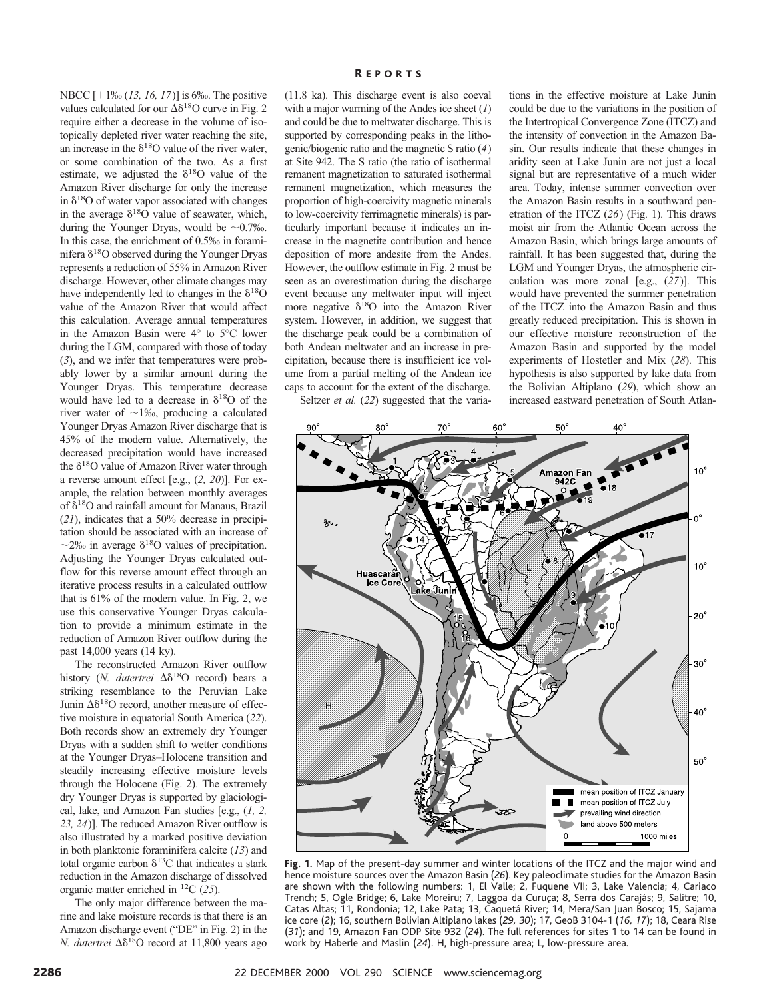NBCC  $[+1\% (13, 16, 17)]$  is 6‰. The positive values calculated for our  $\Delta\delta^{18}$ O curve in Fig. 2 require either a decrease in the volume of isotopically depleted river water reaching the site, an increase in the  $\delta^{18}$ O value of the river water, or some combination of the two. As a first estimate, we adjusted the  $\delta^{18}O$  value of the Amazon River discharge for only the increase in  $\delta^{18}$ O of water vapor associated with changes in the average  $\delta^{18}O$  value of seawater, which, during the Younger Dryas, would be  $\sim 0.7\%$ . In this case, the enrichment of 0.5‰ in foraminifera $\delta^{18} \mathrm{O}$  observed during the Younger Dryas represents a reduction of 55% in Amazon River discharge. However, other climate changes may have independently led to changes in the  $\delta^{18}O$ value of the Amazon River that would affect this calculation. Average annual temperatures in the Amazon Basin were 4° to 5°C lower during the LGM, compared with those of today (*3*), and we infer that temperatures were probably lower by a similar amount during the Younger Dryas. This temperature decrease would have led to a decrease in  $\delta^{18}$ O of the river water of  $\sim$ 1‰, producing a calculated Younger Dryas Amazon River discharge that is 45% of the modern value. Alternatively, the decreased precipitation would have increased the  $\delta^{18}$ O value of Amazon River water through a reverse amount effect [e.g., (*2, 20*)]. For example, the relation between monthly averages of  $\delta^{18}$ O and rainfall amount for Manaus, Brazil (*21*), indicates that a 50% decrease in precipitation should be associated with an increase of  $\sim$ 2‰ in average  $\delta$ <sup>18</sup>O values of precipitation. Adjusting the Younger Dryas calculated outflow for this reverse amount effect through an iterative process results in a calculated outflow that is 61% of the modern value. In Fig. 2, we use this conservative Younger Dryas calculation to provide a minimum estimate in the reduction of Amazon River outflow during the past 14,000 years (14 ky).

The reconstructed Amazon River outflow history (*N. dutertrei* Δδ<sup>18</sup>O record) bears a striking resemblance to the Peruvian Lake Junin  $\Delta\delta^{18}$ O record, another measure of effective moisture in equatorial South America (*22*). Both records show an extremely dry Younger Dryas with a sudden shift to wetter conditions at the Younger Dryas–Holocene transition and steadily increasing effective moisture levels through the Holocene (Fig. 2). The extremely dry Younger Dryas is supported by glaciological, lake, and Amazon Fan studies [e.g., (*1, 2, 23, 24*)]. The reduced Amazon River outflow is also illustrated by a marked positive deviation in both planktonic foraminifera calcite (*13*) and total organic carbon  $\delta^{13}$ C that indicates a stark reduction in the Amazon discharge of dissolved organic matter enriched in 12C (*25*).

The only major difference between the marine and lake moisture records is that there is an Amazon discharge event ("DE" in Fig. 2) in the *N. dutertrei* Δδ<sup>18</sup>O record at 11,800 years ago

#### R EPORTS

(11.8 ka). This discharge event is also coeval with a major warming of the Andes ice sheet (*1*) and could be due to meltwater discharge. This is supported by corresponding peaks in the lithogenic/biogenic ratio and the magnetic S ratio (*4*) at Site 942. The S ratio (the ratio of isothermal remanent magnetization to saturated isothermal remanent magnetization, which measures the proportion of high-coercivity magnetic minerals to low-coercivity ferrimagnetic minerals) is particularly important because it indicates an increase in the magnetite contribution and hence deposition of more andesite from the Andes. However, the outflow estimate in Fig. 2 must be seen as an overestimation during the discharge event because any meltwater input will inject more negative  $\delta^{18}O$  into the Amazon River system. However, in addition, we suggest that the discharge peak could be a combination of both Andean meltwater and an increase in precipitation, because there is insufficient ice volume from a partial melting of the Andean ice caps to account for the extent of the discharge.

tions in the effective moisture at Lake Junin could be due to the variations in the position of the Intertropical Convergence Zone (ITCZ) and the intensity of convection in the Amazon Basin. Our results indicate that these changes in aridity seen at Lake Junin are not just a local signal but are representative of a much wider area. Today, intense summer convection over the Amazon Basin results in a southward penetration of the ITCZ (*26*) (Fig. 1). This draws moist air from the Atlantic Ocean across the Amazon Basin, which brings large amounts of rainfall. It has been suggested that, during the LGM and Younger Dryas, the atmospheric circulation was more zonal [e.g., (*27*)]. This would have prevented the summer penetration of the ITCZ into the Amazon Basin and thus greatly reduced precipitation. This is shown in our effective moisture reconstruction of the Amazon Basin and supported by the model experiments of Hostetler and Mix (*28*). This hypothesis is also supported by lake data from the Bolivian Altiplano (*29*), which show an increased eastward penetration of South Atlan-

Seltzer *et al.* (*22*) suggested that the varia-



**Fig. 1.** Map of the present-day summer and winter locations of the ITCZ and the major wind and hence moisture sources over the Amazon Basin (*26*). Key paleoclimate studies for the Amazon Basin are shown with the following numbers: 1, El Valle; 2, Fuquene VII; 3, Lake Valencia; 4, Cariaco Trench; 5, Ogle Bridge; 6, Lake Moreiru; 7, Laggoa da Curuça; 8, Serra dos Carajás; 9, Salitre; 10, Catas Altas; 11, Rondonia; 12, Lake Pata; 13, Caqueta´ River; 14, Mera/San Juan Bosco; 15, Sajama ice core (*2*); 16, southern Bolivian Altiplano lakes (*29, 30*); 17, GeoB 3104-1 (*16, 17*); 18, Ceara Rise (*31*); and 19, Amazon Fan ODP Site 932 (*24*). The full references for sites 1 to 14 can be found in work by Haberle and Maslin (*24*). H, high-pressure area; L, low-pressure area.